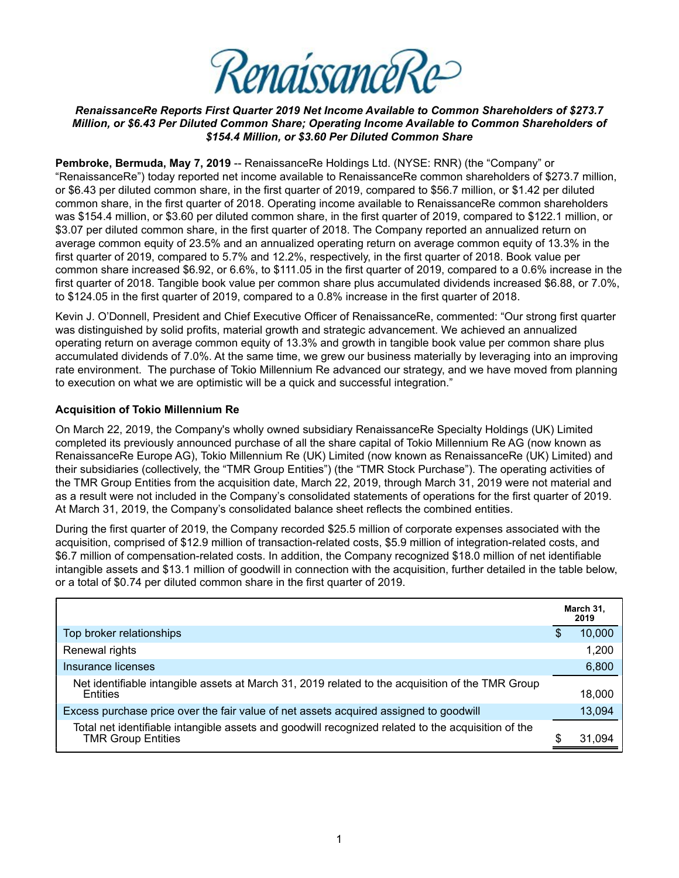

#### *RenaissanceRe Reports First Quarter 2019 Net Income Available to Common Shareholders of \$273.7 Million, or \$6.43 Per Diluted Common Share; Operating Income Available to Common Shareholders of \$154.4 Million, or \$3.60 Per Diluted Common Share*

**Pembroke, Bermuda, May 7, 2019** -- RenaissanceRe Holdings Ltd. (NYSE: RNR) (the "Company" or "RenaissanceRe") today reported net income available to RenaissanceRe common shareholders of \$273.7 million, or \$6.43 per diluted common share, in the first quarter of 2019, compared to \$56.7 million, or \$1.42 per diluted common share, in the first quarter of 2018. Operating income available to RenaissanceRe common shareholders was \$154.4 million, or \$3.60 per diluted common share, in the first quarter of 2019, compared to \$122.1 million, or \$3.07 per diluted common share, in the first quarter of 2018. The Company reported an annualized return on average common equity of 23.5% and an annualized operating return on average common equity of 13.3% in the first quarter of 2019, compared to 5.7% and 12.2%, respectively, in the first quarter of 2018. Book value per common share increased \$6.92, or 6.6%, to \$111.05 in the first quarter of 2019, compared to a 0.6% increase in the first quarter of 2018. Tangible book value per common share plus accumulated dividends increased \$6.88, or 7.0%, to \$124.05 in the first quarter of 2019, compared to a 0.8% increase in the first quarter of 2018.

Kevin J. O'Donnell, President and Chief Executive Officer of RenaissanceRe, commented: "Our strong first quarter was distinguished by solid profits, material growth and strategic advancement. We achieved an annualized operating return on average common equity of 13.3% and growth in tangible book value per common share plus accumulated dividends of 7.0%. At the same time, we grew our business materially by leveraging into an improving rate environment. The purchase of Tokio Millennium Re advanced our strategy, and we have moved from planning to execution on what we are optimistic will be a quick and successful integration."

## **Acquisition of Tokio Millennium Re**

On March 22, 2019, the Company's wholly owned subsidiary RenaissanceRe Specialty Holdings (UK) Limited completed its previously announced purchase of all the share capital of Tokio Millennium Re AG (now known as RenaissanceRe Europe AG), Tokio Millennium Re (UK) Limited (now known as RenaissanceRe (UK) Limited) and their subsidiaries (collectively, the "TMR Group Entities") (the "TMR Stock Purchase"). The operating activities of the TMR Group Entities from the acquisition date, March 22, 2019, through March 31, 2019 were not material and as a result were not included in the Company's consolidated statements of operations for the first quarter of 2019. At March 31, 2019, the Company's consolidated balance sheet reflects the combined entities.

During the first quarter of 2019, the Company recorded \$25.5 million of corporate expenses associated with the acquisition, comprised of \$12.9 million of transaction-related costs, \$5.9 million of integration-related costs, and \$6.7 million of compensation-related costs. In addition, the Company recognized \$18.0 million of net identifiable intangible assets and \$13.1 million of goodwill in connection with the acquisition, further detailed in the table below, or a total of \$0.74 per diluted common share in the first quarter of 2019.

|                                                                                                                                 |   | March 31,<br>2019 |
|---------------------------------------------------------------------------------------------------------------------------------|---|-------------------|
| Top broker relationships                                                                                                        | S | 10,000            |
| Renewal rights                                                                                                                  |   | 1,200             |
| Insurance licenses                                                                                                              |   | 6,800             |
| Net identifiable intangible assets at March 31, 2019 related to the acquisition of the TMR Group<br>Entities                    |   | 18,000            |
| Excess purchase price over the fair value of net assets acquired assigned to goodwill                                           |   | 13,094            |
| Total net identifiable intangible assets and goodwill recognized related to the acquisition of the<br><b>TMR Group Entities</b> |   | 31,094            |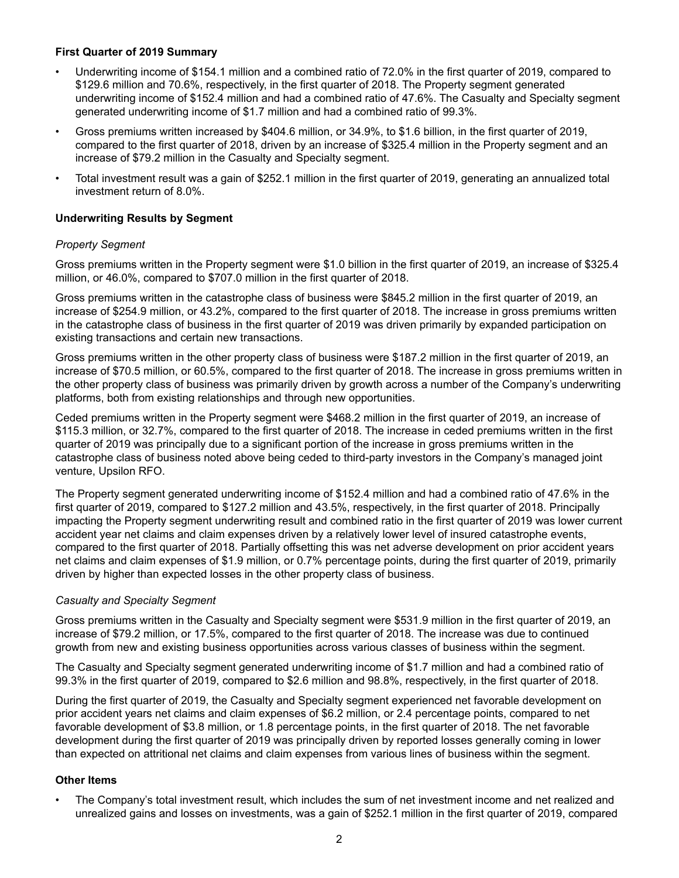## **First Quarter of 2019 Summary**

- Underwriting income of \$154.1 million and a combined ratio of 72.0% in the first quarter of 2019, compared to \$129.6 million and 70.6%, respectively, in the first quarter of 2018. The Property segment generated underwriting income of \$152.4 million and had a combined ratio of 47.6%. The Casualty and Specialty segment generated underwriting income of \$1.7 million and had a combined ratio of 99.3%.
- Gross premiums written increased by \$404.6 million, or 34.9%, to \$1.6 billion, in the first quarter of 2019, compared to the first quarter of 2018, driven by an increase of \$325.4 million in the Property segment and an increase of \$79.2 million in the Casualty and Specialty segment.
- Total investment result was a gain of \$252.1 million in the first quarter of 2019, generating an annualized total investment return of 8.0%.

## **Underwriting Results by Segment**

## *Property Segment*

Gross premiums written in the Property segment were \$1.0 billion in the first quarter of 2019, an increase of \$325.4 million, or 46.0%, compared to \$707.0 million in the first quarter of 2018.

Gross premiums written in the catastrophe class of business were \$845.2 million in the first quarter of 2019, an increase of \$254.9 million, or 43.2%, compared to the first quarter of 2018. The increase in gross premiums written in the catastrophe class of business in the first quarter of 2019 was driven primarily by expanded participation on existing transactions and certain new transactions.

Gross premiums written in the other property class of business were \$187.2 million in the first quarter of 2019, an increase of \$70.5 million, or 60.5%, compared to the first quarter of 2018. The increase in gross premiums written in the other property class of business was primarily driven by growth across a number of the Company's underwriting platforms, both from existing relationships and through new opportunities.

Ceded premiums written in the Property segment were \$468.2 million in the first quarter of 2019, an increase of \$115.3 million, or 32.7%, compared to the first quarter of 2018. The increase in ceded premiums written in the first quarter of 2019 was principally due to a significant portion of the increase in gross premiums written in the catastrophe class of business noted above being ceded to third-party investors in the Company's managed joint venture, Upsilon RFO.

The Property segment generated underwriting income of \$152.4 million and had a combined ratio of 47.6% in the first quarter of 2019, compared to \$127.2 million and 43.5%, respectively, in the first quarter of 2018. Principally impacting the Property segment underwriting result and combined ratio in the first quarter of 2019 was lower current accident year net claims and claim expenses driven by a relatively lower level of insured catastrophe events, compared to the first quarter of 2018. Partially offsetting this was net adverse development on prior accident years net claims and claim expenses of \$1.9 million, or 0.7% percentage points, during the first quarter of 2019, primarily driven by higher than expected losses in the other property class of business.

## *Casualty and Specialty Segment*

Gross premiums written in the Casualty and Specialty segment were \$531.9 million in the first quarter of 2019, an increase of \$79.2 million, or 17.5%, compared to the first quarter of 2018. The increase was due to continued growth from new and existing business opportunities across various classes of business within the segment.

The Casualty and Specialty segment generated underwriting income of \$1.7 million and had a combined ratio of 99.3% in the first quarter of 2019, compared to \$2.6 million and 98.8%, respectively, in the first quarter of 2018.

During the first quarter of 2019, the Casualty and Specialty segment experienced net favorable development on prior accident years net claims and claim expenses of \$6.2 million, or 2.4 percentage points, compared to net favorable development of \$3.8 million, or 1.8 percentage points, in the first quarter of 2018. The net favorable development during the first quarter of 2019 was principally driven by reported losses generally coming in lower than expected on attritional net claims and claim expenses from various lines of business within the segment.

## **Other Items**

• The Company's total investment result, which includes the sum of net investment income and net realized and unrealized gains and losses on investments, was a gain of \$252.1 million in the first quarter of 2019, compared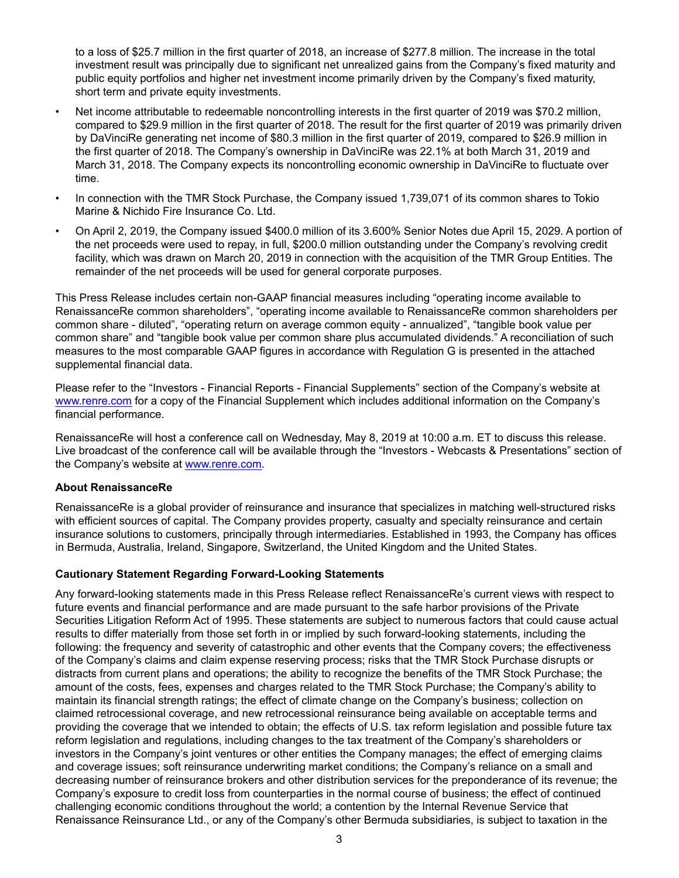to a loss of \$25.7 million in the first quarter of 2018, an increase of \$277.8 million. The increase in the total investment result was principally due to significant net unrealized gains from the Company's fixed maturity and public equity portfolios and higher net investment income primarily driven by the Company's fixed maturity, short term and private equity investments.

- Net income attributable to redeemable noncontrolling interests in the first quarter of 2019 was \$70.2 million, compared to \$29.9 million in the first quarter of 2018. The result for the first quarter of 2019 was primarily driven by DaVinciRe generating net income of \$80.3 million in the first quarter of 2019, compared to \$26.9 million in the first quarter of 2018. The Company's ownership in DaVinciRe was 22.1% at both March 31, 2019 and March 31, 2018. The Company expects its noncontrolling economic ownership in DaVinciRe to fluctuate over time.
- In connection with the TMR Stock Purchase, the Company issued 1,739,071 of its common shares to Tokio Marine & Nichido Fire Insurance Co. Ltd.
- On April 2, 2019, the Company issued \$400.0 million of its 3.600% Senior Notes due April 15, 2029. A portion of the net proceeds were used to repay, in full, \$200.0 million outstanding under the Company's revolving credit facility, which was drawn on March 20, 2019 in connection with the acquisition of the TMR Group Entities. The remainder of the net proceeds will be used for general corporate purposes.

This Press Release includes certain non-GAAP financial measures including "operating income available to RenaissanceRe common shareholders", "operating income available to RenaissanceRe common shareholders per common share - diluted", "operating return on average common equity - annualized", "tangible book value per common share" and "tangible book value per common share plus accumulated dividends." A reconciliation of such measures to the most comparable GAAP figures in accordance with Regulation G is presented in the attached supplemental financial data.

Please refer to the "Investors - Financial Reports - Financial Supplements" section of the Company's website at www.renre.com for a copy of the Financial Supplement which includes additional information on the Company's financial performance.

RenaissanceRe will host a conference call on Wednesday, May 8, 2019 at 10:00 a.m. ET to discuss this release. Live broadcast of the conference call will be available through the "Investors - Webcasts & Presentations" section of the Company's website at www.renre.com.

## **About RenaissanceRe**

RenaissanceRe is a global provider of reinsurance and insurance that specializes in matching well-structured risks with efficient sources of capital. The Company provides property, casualty and specialty reinsurance and certain insurance solutions to customers, principally through intermediaries. Established in 1993, the Company has offices in Bermuda, Australia, Ireland, Singapore, Switzerland, the United Kingdom and the United States.

## **Cautionary Statement Regarding Forward-Looking Statements**

Any forward-looking statements made in this Press Release reflect RenaissanceRe's current views with respect to future events and financial performance and are made pursuant to the safe harbor provisions of the Private Securities Litigation Reform Act of 1995. These statements are subject to numerous factors that could cause actual results to differ materially from those set forth in or implied by such forward-looking statements, including the following: the frequency and severity of catastrophic and other events that the Company covers; the effectiveness of the Company's claims and claim expense reserving process; risks that the TMR Stock Purchase disrupts or distracts from current plans and operations; the ability to recognize the benefits of the TMR Stock Purchase; the amount of the costs, fees, expenses and charges related to the TMR Stock Purchase; the Company's ability to maintain its financial strength ratings; the effect of climate change on the Company's business; collection on claimed retrocessional coverage, and new retrocessional reinsurance being available on acceptable terms and providing the coverage that we intended to obtain; the effects of U.S. tax reform legislation and possible future tax reform legislation and regulations, including changes to the tax treatment of the Company's shareholders or investors in the Company's joint ventures or other entities the Company manages; the effect of emerging claims and coverage issues; soft reinsurance underwriting market conditions; the Company's reliance on a small and decreasing number of reinsurance brokers and other distribution services for the preponderance of its revenue; the Company's exposure to credit loss from counterparties in the normal course of business; the effect of continued challenging economic conditions throughout the world; a contention by the Internal Revenue Service that Renaissance Reinsurance Ltd., or any of the Company's other Bermuda subsidiaries, is subject to taxation in the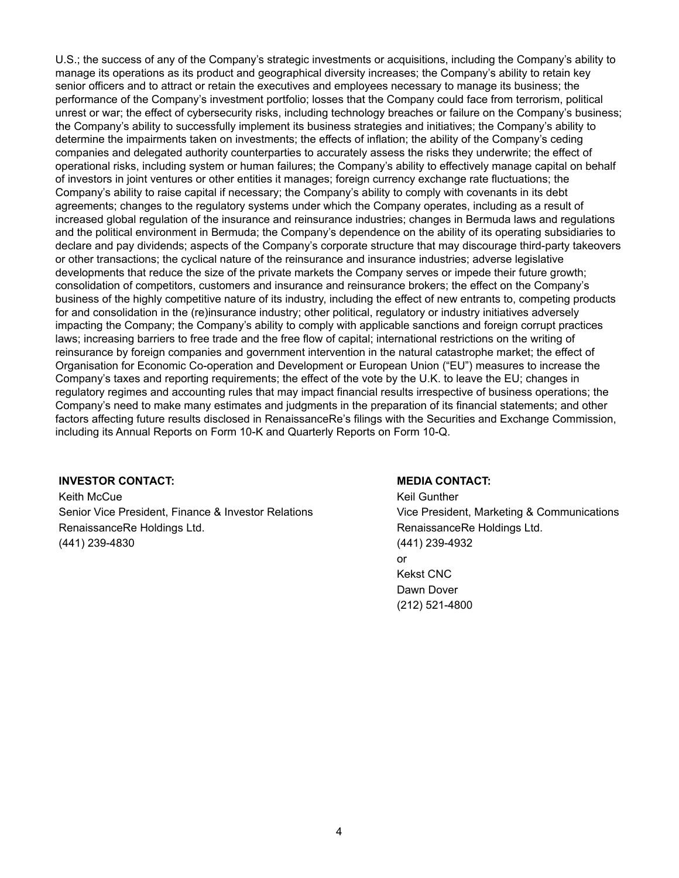U.S.; the success of any of the Company's strategic investments or acquisitions, including the Company's ability to manage its operations as its product and geographical diversity increases; the Company's ability to retain key senior officers and to attract or retain the executives and employees necessary to manage its business; the performance of the Company's investment portfolio; losses that the Company could face from terrorism, political unrest or war; the effect of cybersecurity risks, including technology breaches or failure on the Company's business; the Company's ability to successfully implement its business strategies and initiatives; the Company's ability to determine the impairments taken on investments; the effects of inflation; the ability of the Company's ceding companies and delegated authority counterparties to accurately assess the risks they underwrite; the effect of operational risks, including system or human failures; the Company's ability to effectively manage capital on behalf of investors in joint ventures or other entities it manages; foreign currency exchange rate fluctuations; the Company's ability to raise capital if necessary; the Company's ability to comply with covenants in its debt agreements; changes to the regulatory systems under which the Company operates, including as a result of increased global regulation of the insurance and reinsurance industries; changes in Bermuda laws and regulations and the political environment in Bermuda; the Company's dependence on the ability of its operating subsidiaries to declare and pay dividends; aspects of the Company's corporate structure that may discourage third-party takeovers or other transactions; the cyclical nature of the reinsurance and insurance industries; adverse legislative developments that reduce the size of the private markets the Company serves or impede their future growth; consolidation of competitors, customers and insurance and reinsurance brokers; the effect on the Company's business of the highly competitive nature of its industry, including the effect of new entrants to, competing products for and consolidation in the (re)insurance industry; other political, regulatory or industry initiatives adversely impacting the Company; the Company's ability to comply with applicable sanctions and foreign corrupt practices laws; increasing barriers to free trade and the free flow of capital; international restrictions on the writing of reinsurance by foreign companies and government intervention in the natural catastrophe market; the effect of Organisation for Economic Co-operation and Development or European Union ("EU") measures to increase the Company's taxes and reporting requirements; the effect of the vote by the U.K. to leave the EU; changes in regulatory regimes and accounting rules that may impact financial results irrespective of business operations; the Company's need to make many estimates and judgments in the preparation of its financial statements; and other factors affecting future results disclosed in RenaissanceRe's filings with the Securities and Exchange Commission, including its Annual Reports on Form 10-K and Quarterly Reports on Form 10-Q.

## **INVESTOR CONTACT: MEDIA CONTACT:**

Keith McCue **Keil Gunther** Keil Gunther Keil Gunther Senior Vice President, Finance & Investor Relations Vice President, Marketing & Communications RenaissanceRe Holdings Ltd. **RenaissanceRe Holdings Ltd.** RenaissanceRe Holdings Ltd. (441) 239-4830 (441) 239-4932

or Kekst CNC Dawn Dover (212) 521-4800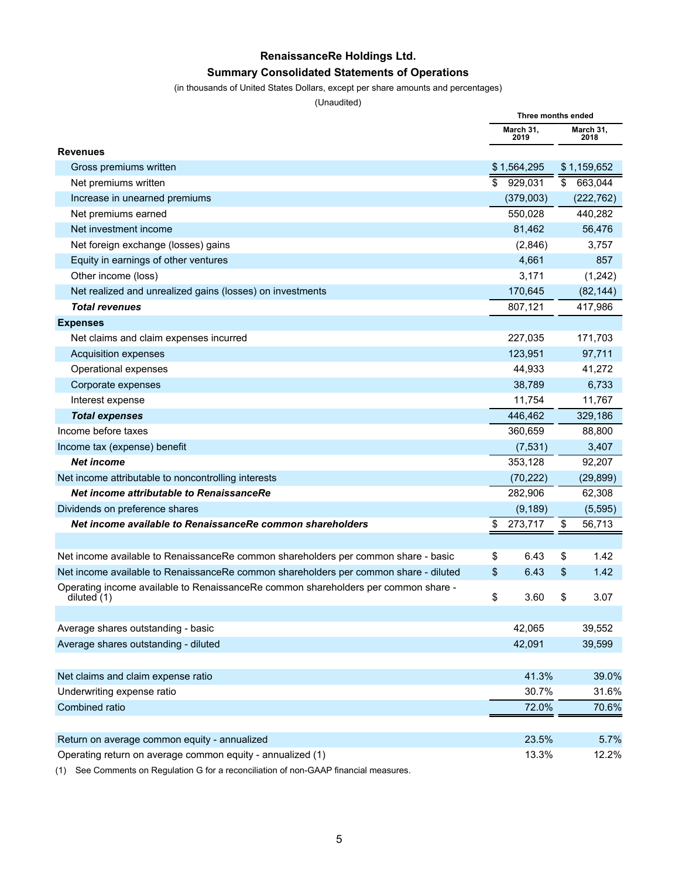## **RenaissanceRe Holdings Ltd.**

## **Summary Consolidated Statements of Operations**

(in thousands of United States Dollars, except per share amounts and percentages)

(Unaudited)

|                                                                                      | Three months ended |                   |    |                   |
|--------------------------------------------------------------------------------------|--------------------|-------------------|----|-------------------|
|                                                                                      |                    | March 31,<br>2019 |    | March 31,<br>2018 |
| <b>Revenues</b>                                                                      |                    |                   |    |                   |
| Gross premiums written                                                               |                    | \$1,564,295       |    | \$1,159,652       |
| Net premiums written                                                                 | \$                 | 929,031           | \$ | 663,044           |
| Increase in unearned premiums                                                        |                    | (379,003)         |    | (222, 762)        |
| Net premiums earned                                                                  |                    | 550,028           |    | 440,282           |
| Net investment income                                                                |                    | 81,462            |    | 56,476            |
| Net foreign exchange (losses) gains                                                  |                    | (2,846)           |    | 3,757             |
| Equity in earnings of other ventures                                                 |                    | 4,661             |    | 857               |
| Other income (loss)                                                                  |                    | 3,171             |    | (1,242)           |
| Net realized and unrealized gains (losses) on investments                            |                    | 170,645           |    | (82, 144)         |
| <b>Total revenues</b>                                                                |                    | 807,121           |    | 417,986           |
| <b>Expenses</b>                                                                      |                    |                   |    |                   |
| Net claims and claim expenses incurred                                               |                    | 227,035           |    | 171,703           |
| Acquisition expenses                                                                 |                    | 123,951           |    | 97,711            |
| Operational expenses                                                                 |                    | 44,933            |    | 41,272            |
| Corporate expenses                                                                   |                    | 38,789            |    | 6,733             |
| Interest expense                                                                     |                    | 11,754            |    | 11,767            |
| <b>Total expenses</b>                                                                |                    | 446,462           |    | 329,186           |
| Income before taxes                                                                  |                    | 360,659           |    | 88,800            |
| Income tax (expense) benefit                                                         |                    | (7, 531)          |    | 3,407             |
| <b>Net income</b>                                                                    |                    | 353,128           |    | 92,207            |
| Net income attributable to noncontrolling interests                                  |                    | (70, 222)         |    | (29, 899)         |
| Net income attributable to RenaissanceRe                                             |                    | 282,906           |    | 62,308            |
| Dividends on preference shares                                                       |                    | (9, 189)          |    | (5, 595)          |
| Net income available to RenaissanceRe common shareholders                            | \$                 | 273,717           | \$ | 56,713            |
|                                                                                      |                    |                   |    |                   |
| Net income available to RenaissanceRe common shareholders per common share - basic   | \$                 | 6.43              | \$ | 1.42              |
| Net income available to RenaissanceRe common shareholders per common share - diluted | \$                 | 6.43              | \$ | 1.42              |
| Operating income available to RenaissanceRe common shareholders per common share -   |                    |                   |    |                   |
| diluted (1)                                                                          | \$                 | 3.60              | \$ | 3.07              |
|                                                                                      |                    |                   |    |                   |
| Average shares outstanding - basic                                                   |                    | 42,065            |    | 39,552            |
| Average shares outstanding - diluted                                                 |                    | 42,091            |    | 39,599            |
|                                                                                      |                    |                   |    |                   |
| Net claims and claim expense ratio                                                   |                    | 41.3%             |    | 39.0%             |
| Underwriting expense ratio                                                           |                    | 30.7%             |    | 31.6%             |
| Combined ratio                                                                       |                    | 72.0%             |    | 70.6%             |
|                                                                                      |                    |                   |    |                   |
| Return on average common equity - annualized                                         |                    | 23.5%             |    | 5.7%              |
| Operating return on average common equity - annualized (1)                           |                    | 13.3%             |    | 12.2%             |

(1) See Comments on Regulation G for a reconciliation of non-GAAP financial measures.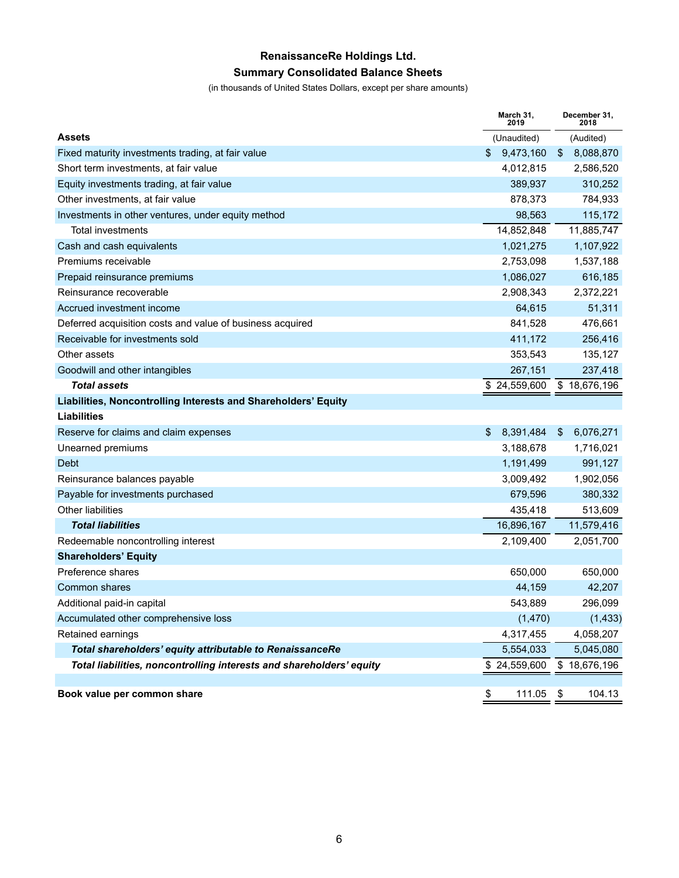# **RenaissanceRe Holdings Ltd.**

## **Summary Consolidated Balance Sheets**

(in thousands of United States Dollars, except per share amounts)

|                                                                      | March 31,<br>2019 | December 31,<br>2018 |
|----------------------------------------------------------------------|-------------------|----------------------|
| <b>Assets</b>                                                        | (Unaudited)       | (Audited)            |
| Fixed maturity investments trading, at fair value                    | \$<br>9,473,160   | \$<br>8,088,870      |
| Short term investments, at fair value                                | 4,012,815         | 2,586,520            |
| Equity investments trading, at fair value                            | 389,937           | 310,252              |
| Other investments, at fair value                                     | 878,373           | 784,933              |
| Investments in other ventures, under equity method                   | 98,563            | 115,172              |
| Total investments                                                    | 14,852,848        | 11,885,747           |
| Cash and cash equivalents                                            | 1,021,275         | 1,107,922            |
| Premiums receivable                                                  | 2,753,098         | 1,537,188            |
| Prepaid reinsurance premiums                                         | 1,086,027         | 616,185              |
| Reinsurance recoverable                                              | 2,908,343         | 2,372,221            |
| Accrued investment income                                            | 64,615            | 51,311               |
| Deferred acquisition costs and value of business acquired            | 841,528           | 476,661              |
| Receivable for investments sold                                      | 411,172           | 256,416              |
| Other assets                                                         | 353,543           | 135,127              |
| Goodwill and other intangibles                                       | 267,151           | 237,418              |
| <b>Total assets</b>                                                  | \$24,559,600      | \$18,676,196         |
| Liabilities, Noncontrolling Interests and Shareholders' Equity       |                   |                      |
| <b>Liabilities</b>                                                   |                   |                      |
| Reserve for claims and claim expenses                                | 8,391,484<br>\$   | \$<br>6,076,271      |
| Unearned premiums                                                    | 3,188,678         | 1,716,021            |
| <b>Debt</b>                                                          | 1,191,499         | 991,127              |
| Reinsurance balances payable                                         | 3,009,492         | 1,902,056            |
| Payable for investments purchased                                    | 679,596           | 380,332              |
| <b>Other liabilities</b>                                             | 435,418           | 513,609              |
| <b>Total liabilities</b>                                             | 16,896,167        | 11,579,416           |
| Redeemable noncontrolling interest                                   | 2,109,400         | 2,051,700            |
| <b>Shareholders' Equity</b>                                          |                   |                      |
| Preference shares                                                    | 650,000           | 650,000              |
| Common shares                                                        | 44,159            | 42,207               |
| Additional paid-in capital                                           | 543,889           | 296,099              |
| Accumulated other comprehensive loss                                 | (1,470)           | (1, 433)             |
| Retained earnings                                                    | 4,317,455         | 4,058,207            |
| Total shareholders' equity attributable to RenaissanceRe             | 5,554,033         | 5,045,080            |
| Total liabilities, noncontrolling interests and shareholders' equity | \$24,559,600      | \$18,676,196         |
|                                                                      |                   |                      |
| Book value per common share                                          | \$<br>111.05      | 104.13<br>\$         |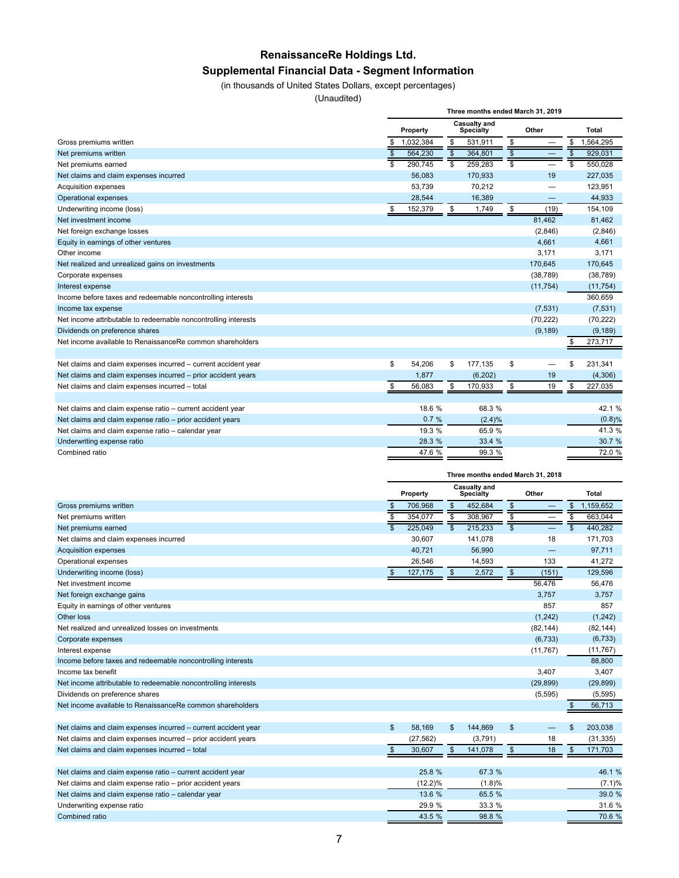## **RenaissanceRe Holdings Ltd.**

## **Supplemental Financial Data - Segment Information**

(in thousands of United States Dollars, except percentages)

(Unaudited)

|                                                                | Three months ended March 31, 2019 |           |                                  |          |                         |           |                 |           |  |  |
|----------------------------------------------------------------|-----------------------------------|-----------|----------------------------------|----------|-------------------------|-----------|-----------------|-----------|--|--|
|                                                                | Property                          |           | Casualty and<br><b>Specialty</b> |          | Other                   |           | <b>Total</b>    |           |  |  |
| Gross premiums written                                         | \$                                | 1,032,384 | \$                               | 531.911  | \$                      |           | \$              | 1,564,295 |  |  |
| Net premiums written                                           | $\overline{\mathcal{S}}$          | 564,230   | $\overline{\mathsf{s}}$          | 364,801  | $\overline{\mathsf{s}}$ |           | \$              | 929,031   |  |  |
| Net premiums earned                                            | $\overline{\mathbf{s}}$           | 290,745   | $\overline{\mathbb{s}}$          | 259,283  | \$                      |           | $\overline{\$}$ | 550,028   |  |  |
| Net claims and claim expenses incurred                         |                                   | 56.083    |                                  | 170.933  |                         | 19        |                 | 227,035   |  |  |
| Acquisition expenses                                           |                                   | 53,739    |                                  | 70,212   |                         |           |                 | 123,951   |  |  |
| Operational expenses                                           |                                   | 28.544    |                                  | 16.389   |                         |           |                 | 44.933    |  |  |
| Underwriting income (loss)                                     | \$                                | 152,379   | \$                               | 1,749    | $\frac{1}{2}$           | (19)      |                 | 154,109   |  |  |
| Net investment income                                          |                                   |           |                                  |          |                         | 81,462    |                 | 81,462    |  |  |
| Net foreign exchange losses                                    |                                   |           |                                  |          |                         | (2,846)   |                 | (2,846)   |  |  |
| Equity in earnings of other ventures                           |                                   |           |                                  |          |                         | 4.661     |                 | 4,661     |  |  |
| Other income                                                   |                                   |           |                                  |          |                         | 3,171     |                 | 3,171     |  |  |
| Net realized and unrealized gains on investments               |                                   |           |                                  |          |                         | 170.645   |                 | 170,645   |  |  |
| Corporate expenses                                             |                                   |           |                                  |          |                         | (38, 789) |                 | (38, 789) |  |  |
| Interest expense                                               |                                   |           |                                  |          |                         | (11, 754) |                 | (11, 754) |  |  |
| Income before taxes and redeemable noncontrolling interests    |                                   |           |                                  |          |                         |           |                 | 360,659   |  |  |
| Income tax expense                                             |                                   |           |                                  |          |                         | (7, 531)  |                 | (7, 531)  |  |  |
| Net income attributable to redeemable noncontrolling interests |                                   |           |                                  |          |                         | (70, 222) |                 | (70, 222) |  |  |
| Dividends on preference shares                                 |                                   |           |                                  |          |                         | (9, 189)  |                 | (9, 189)  |  |  |
| Net income available to RenaissanceRe common shareholders      |                                   |           |                                  |          |                         |           |                 | 273,717   |  |  |
|                                                                |                                   |           |                                  |          |                         |           |                 |           |  |  |
| Net claims and claim expenses incurred - current accident year | \$                                | 54,206    | \$                               | 177.135  | \$                      |           | \$              | 231,341   |  |  |
| Net claims and claim expenses incurred - prior accident years  |                                   | 1,877     |                                  | (6, 202) |                         | 19        |                 | (4,306)   |  |  |
| Net claims and claim expenses incurred - total                 | \$                                | 56,083    | \$                               | 170,933  | \$                      | 19        | \$              | 227,035   |  |  |
|                                                                |                                   |           |                                  |          |                         |           |                 |           |  |  |
| Net claims and claim expense ratio - current accident year     |                                   | 18.6 %    |                                  | 68.3%    |                         |           |                 | 42.1%     |  |  |
| Net claims and claim expense ratio - prior accident years      |                                   | 0.7%      |                                  | (2.4)%   |                         |           |                 | (0.8)%    |  |  |
| Net claims and claim expense ratio - calendar year             |                                   | 19.3 %    |                                  | 65.9 %   |                         |           |                 | 41.3%     |  |  |
| Underwriting expense ratio                                     |                                   | 28.3 %    |                                  | 33.4 %   |                         |           |                 | 30.7 %    |  |  |
| Combined ratio                                                 |                                   | 47.6 %    |                                  | 99.3 %   |                         |           |                 | 72.0 %    |  |  |
|                                                                |                                   |           |                                  |          |                         |           |                 |           |  |  |

|                                                                | Three months ended March 31, 2018 |           |                          |                                  |                          |           |                         |           |  |
|----------------------------------------------------------------|-----------------------------------|-----------|--------------------------|----------------------------------|--------------------------|-----------|-------------------------|-----------|--|
|                                                                |                                   | Property  |                          | Casualty and<br><b>Specialty</b> |                          | Other     |                         | Total     |  |
| Gross premiums written                                         |                                   | 706,968   | $\sqrt[6]{3}$            | 452,684                          | \$                       |           | \$                      | 1,159,652 |  |
| Net premiums written                                           | $\overline{\mathcal{S}}$          | 354,077   | $\overline{\mathcal{S}}$ | 308,967                          | $\overline{\$}$          |           | $\overline{\$}$         | 663,044   |  |
| Net premiums earned                                            | $\overline{\overline{s}}$         | 225,049   | $\mathbb{S}$             | 215,233                          | $\overline{\mathcal{S}}$ |           | $\overline{\mathbf{s}}$ | 440,282   |  |
| Net claims and claim expenses incurred                         |                                   | 30,607    |                          | 141,078                          |                          | 18        |                         | 171,703   |  |
| <b>Acquisition expenses</b>                                    |                                   | 40.721    |                          | 56,990                           |                          |           |                         | 97.711    |  |
| Operational expenses                                           |                                   | 26,546    |                          | 14,593                           |                          | 133       |                         | 41.272    |  |
| Underwriting income (loss)                                     |                                   | 127,175   | $\frac{3}{2}$            | 2,572                            | $\pmb{\$}$               | (151)     |                         | 129,596   |  |
| Net investment income                                          |                                   |           |                          |                                  |                          | 56,476    |                         | 56,476    |  |
| Net foreign exchange gains                                     |                                   |           |                          |                                  |                          | 3,757     |                         | 3.757     |  |
| Equity in earnings of other ventures                           |                                   |           |                          |                                  |                          | 857       |                         | 857       |  |
| Other loss                                                     |                                   |           |                          |                                  |                          | (1,242)   |                         | (1, 242)  |  |
| Net realized and unrealized losses on investments              |                                   |           |                          |                                  |                          | (82, 144) |                         | (82, 144) |  |
| Corporate expenses                                             |                                   |           |                          |                                  |                          | (6, 733)  |                         | (6, 733)  |  |
| Interest expense                                               |                                   |           |                          |                                  |                          | (11,767)  |                         | (11, 767) |  |
| Income before taxes and redeemable noncontrolling interests    |                                   |           |                          |                                  |                          |           |                         | 88,800    |  |
| Income tax benefit                                             |                                   |           |                          |                                  |                          | 3,407     |                         | 3,407     |  |
| Net income attributable to redeemable noncontrolling interests |                                   |           |                          |                                  |                          | (29, 899) |                         | (29, 899) |  |
| Dividends on preference shares                                 |                                   |           |                          |                                  |                          | (5, 595)  |                         | (5,595)   |  |
| Net income available to RenaissanceRe common shareholders      |                                   |           |                          |                                  |                          |           | \$                      | 56,713    |  |
|                                                                |                                   |           |                          |                                  |                          |           |                         |           |  |
| Net claims and claim expenses incurred - current accident year | $\mathbb{S}$                      | 58,169    | \$                       | 144,869                          | \$                       |           | \$                      | 203,038   |  |
| Net claims and claim expenses incurred - prior accident years  |                                   | (27, 562) |                          | (3,791)                          |                          | 18        |                         | (31, 335) |  |
| Net claims and claim expenses incurred - total                 | $\mathfrak{s}$                    | 30,607    | $\mathfrak{S}$           | 141,078                          | $\sqrt[6]{3}$            | 18        | $\mathfrak{S}$          | 171,703   |  |
|                                                                |                                   |           |                          |                                  |                          |           |                         |           |  |
| Net claims and claim expense ratio - current accident year     |                                   | 25.8 %    |                          | 67.3 %                           |                          |           |                         | 46.1 %    |  |
| Net claims and claim expense ratio - prior accident years      |                                   | (12.2)%   |                          | (1.8)%                           |                          |           |                         | (7.1)%    |  |
| Net claims and claim expense ratio - calendar year             |                                   | 13.6 %    |                          | 65.5 %                           |                          |           |                         | 39.0 %    |  |
| Underwriting expense ratio                                     |                                   | 29.9 %    |                          | 33.3 %                           |                          |           |                         | 31.6 %    |  |
| Combined ratio                                                 |                                   | 43.5 %    |                          | 98.8 %                           |                          |           |                         | 70.6%     |  |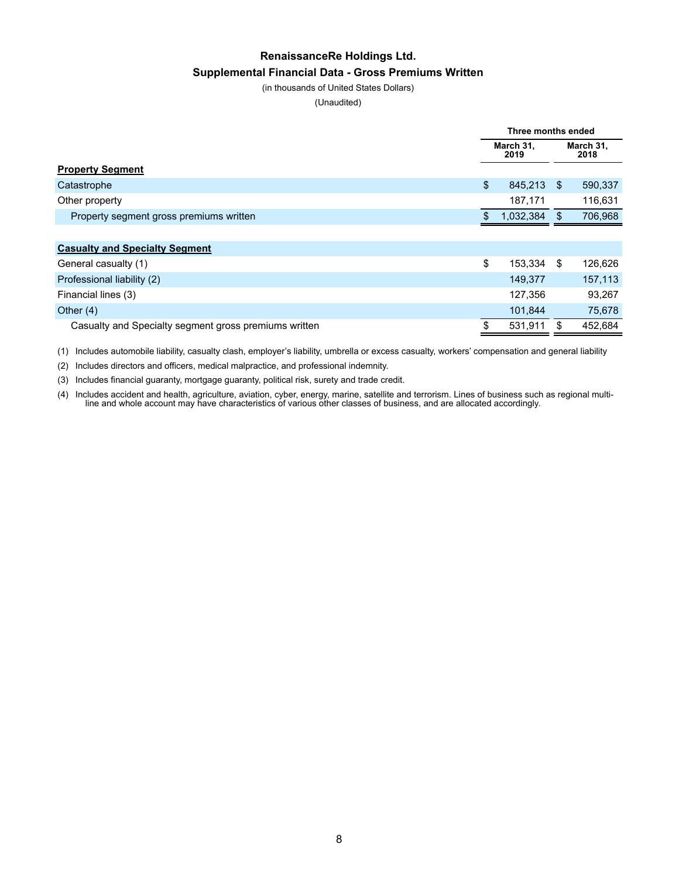## **RenaissanceRe Holdings Ltd. Supplemental Financial Data - Gross Premiums Written**

(in thousands of United States Dollars)

#### (Unaudited)

|                                                       | Three months ended |         |     |                   |
|-------------------------------------------------------|--------------------|---------|-----|-------------------|
|                                                       | March 31,<br>2019  |         |     | March 31,<br>2018 |
| <b>Property Segment</b>                               |                    |         |     |                   |
| Catastrophe                                           | \$                 | 845,213 | \$  | 590,337           |
| Other property                                        |                    | 187,171 |     | 116,631           |
| Property segment gross premiums written               | 1,032,384<br>\$    |         | \$. | 706,968           |
|                                                       |                    |         |     |                   |
| <b>Casualty and Specialty Segment</b>                 |                    |         |     |                   |
| General casualty (1)                                  | \$                 | 153.334 | \$  | 126,626           |
| Professional liability (2)                            |                    | 149,377 |     | 157,113           |
| Financial lines (3)                                   |                    | 127,356 |     | 93,267            |
| Other $(4)$                                           |                    | 101,844 |     | 75,678            |
| Casualty and Specialty segment gross premiums written | \$                 | 531,911 | \$  | 452,684           |

(1) Includes automobile liability, casualty clash, employer's liability, umbrella or excess casualty, workers' compensation and general liability

(2) Includes directors and officers, medical malpractice, and professional indemnity.

(3) Includes financial guaranty, mortgage guaranty, political risk, surety and trade credit.

(4) Includes accident and health, agriculture, aviation, cyber, energy, marine, satellite and terrorism. Lines of business such as regional multiline and whole account may have characteristics of various other classes of business, and are allocated accordingly.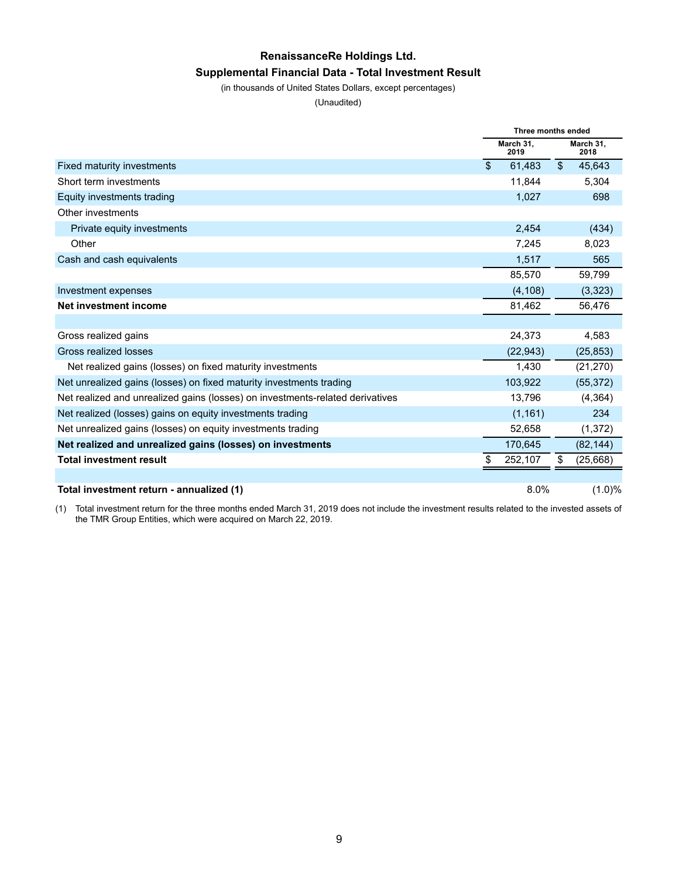## **RenaissanceRe Holdings Ltd. Supplemental Financial Data - Total Investment Result**

(in thousands of United States Dollars, except percentages)

(Unaudited)

|                                                                               | Three months ended |                   |                |                   |
|-------------------------------------------------------------------------------|--------------------|-------------------|----------------|-------------------|
|                                                                               |                    | March 31.<br>2019 |                | March 31.<br>2018 |
| Fixed maturity investments                                                    | \$                 | 61.483            | $\mathfrak{L}$ | 45,643            |
| Short term investments                                                        |                    | 11.844            |                | 5.304             |
| Equity investments trading                                                    |                    | 1,027             |                | 698               |
| Other investments                                                             |                    |                   |                |                   |
| Private equity investments                                                    |                    | 2,454             |                | (434)             |
| Other                                                                         |                    | 7,245             |                | 8,023             |
| Cash and cash equivalents                                                     |                    | 1,517             |                | 565               |
|                                                                               |                    | 85,570            |                | 59,799            |
| Investment expenses                                                           |                    | (4, 108)          |                | (3,323)           |
| Net investment income                                                         |                    | 81,462            |                | 56,476            |
|                                                                               |                    |                   |                |                   |
| Gross realized gains                                                          |                    | 24,373            |                | 4,583             |
| Gross realized losses                                                         |                    | (22, 943)         |                | (25, 853)         |
| Net realized gains (losses) on fixed maturity investments                     |                    | 1,430             |                | (21, 270)         |
| Net unrealized gains (losses) on fixed maturity investments trading           |                    | 103,922           |                | (55, 372)         |
| Net realized and unrealized gains (losses) on investments-related derivatives |                    | 13,796            |                | (4, 364)          |
| Net realized (losses) gains on equity investments trading                     |                    | (1, 161)          |                | 234               |
| Net unrealized gains (losses) on equity investments trading                   |                    | 52,658            |                | (1,372)           |
| Net realized and unrealized gains (losses) on investments                     |                    | 170,645           |                | (82, 144)         |
| <b>Total investment result</b>                                                | \$                 | 252,107           | \$             | (25,668)          |
|                                                                               |                    |                   |                |                   |
| Total investment return - annualized (1)                                      |                    | 8.0%              |                | (1.0)%            |

(1) Total investment return for the three months ended March 31, 2019 does not include the investment results related to the invested assets of the TMR Group Entities, which were acquired on March 22, 2019.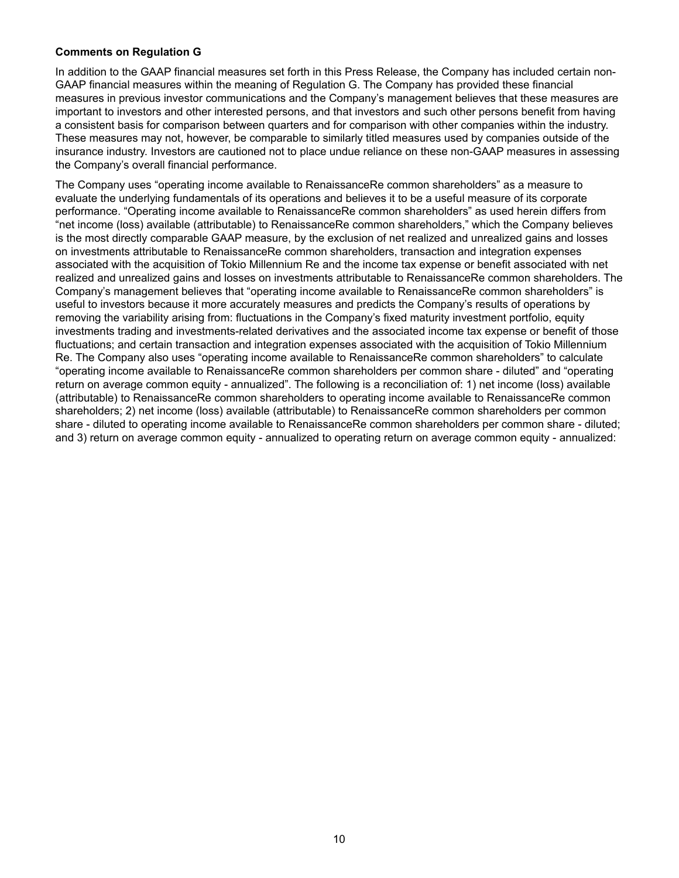#### **Comments on Regulation G**

In addition to the GAAP financial measures set forth in this Press Release, the Company has included certain non-GAAP financial measures within the meaning of Regulation G. The Company has provided these financial measures in previous investor communications and the Company's management believes that these measures are important to investors and other interested persons, and that investors and such other persons benefit from having a consistent basis for comparison between quarters and for comparison with other companies within the industry. These measures may not, however, be comparable to similarly titled measures used by companies outside of the insurance industry. Investors are cautioned not to place undue reliance on these non-GAAP measures in assessing the Company's overall financial performance.

The Company uses "operating income available to RenaissanceRe common shareholders" as a measure to evaluate the underlying fundamentals of its operations and believes it to be a useful measure of its corporate performance. "Operating income available to RenaissanceRe common shareholders" as used herein differs from "net income (loss) available (attributable) to RenaissanceRe common shareholders," which the Company believes is the most directly comparable GAAP measure, by the exclusion of net realized and unrealized gains and losses on investments attributable to RenaissanceRe common shareholders, transaction and integration expenses associated with the acquisition of Tokio Millennium Re and the income tax expense or benefit associated with net realized and unrealized gains and losses on investments attributable to RenaissanceRe common shareholders. The Company's management believes that "operating income available to RenaissanceRe common shareholders" is useful to investors because it more accurately measures and predicts the Company's results of operations by removing the variability arising from: fluctuations in the Company's fixed maturity investment portfolio, equity investments trading and investments-related derivatives and the associated income tax expense or benefit of those fluctuations; and certain transaction and integration expenses associated with the acquisition of Tokio Millennium Re. The Company also uses "operating income available to RenaissanceRe common shareholders" to calculate "operating income available to RenaissanceRe common shareholders per common share - diluted" and "operating return on average common equity - annualized". The following is a reconciliation of: 1) net income (loss) available (attributable) to RenaissanceRe common shareholders to operating income available to RenaissanceRe common shareholders; 2) net income (loss) available (attributable) to RenaissanceRe common shareholders per common share - diluted to operating income available to RenaissanceRe common shareholders per common share - diluted; and 3) return on average common equity - annualized to operating return on average common equity - annualized: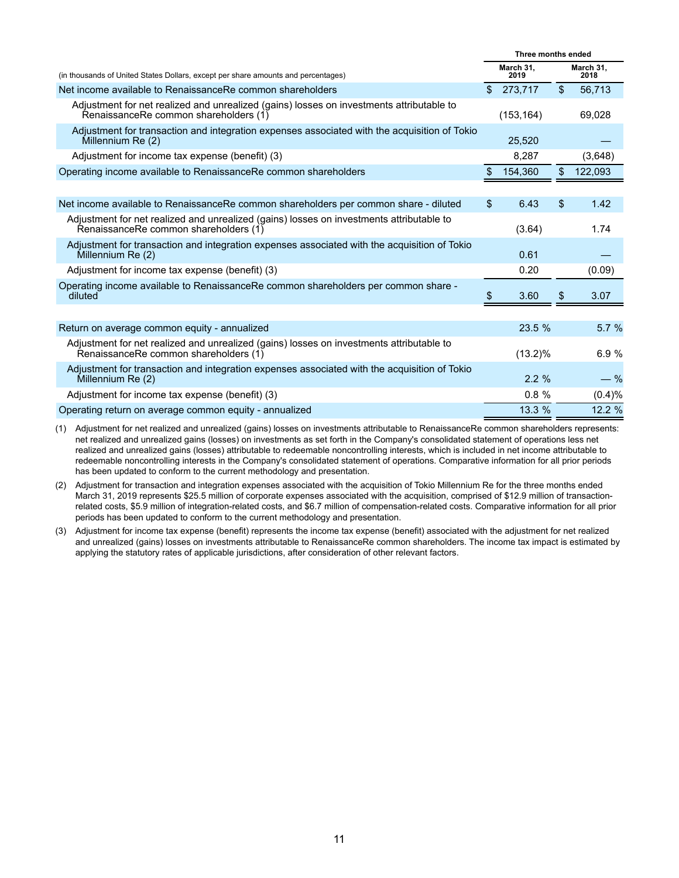|                                                                                                                                   |    |                   | Three months ended |                   |  |  |  |
|-----------------------------------------------------------------------------------------------------------------------------------|----|-------------------|--------------------|-------------------|--|--|--|
| (in thousands of United States Dollars, except per share amounts and percentages)                                                 |    | March 31,<br>2019 |                    | March 31,<br>2018 |  |  |  |
| Net income available to RenaissanceRe common shareholders                                                                         | S  | 273,717           | $\frac{1}{2}$      | 56,713            |  |  |  |
| Adjustment for net realized and unrealized (gains) losses on investments attributable to<br>RenaissanceRe common shareholders (1) |    | (153, 164)        |                    | 69.028            |  |  |  |
| Adjustment for transaction and integration expenses associated with the acquisition of Tokio<br>Millennium Re (2)                 |    | 25,520            |                    |                   |  |  |  |
| Adjustment for income tax expense (benefit) (3)                                                                                   |    | 8.287             |                    | (3,648)           |  |  |  |
| Operating income available to Renaissance Recommon shareholders                                                                   |    | 154,360           | \$                 | 122,093           |  |  |  |
|                                                                                                                                   |    |                   |                    |                   |  |  |  |
| Net income available to RenaissanceRe common shareholders per common share - diluted                                              | \$ | 6.43              | \$                 | 1.42              |  |  |  |
| Adjustment for net realized and unrealized (gains) losses on investments attributable to<br>RenaissanceRe common shareholders (1) |    | (3.64)            |                    | 1.74              |  |  |  |
| Adjustment for transaction and integration expenses associated with the acquisition of Tokio<br>Millennium Re (2)                 |    | 0.61              |                    |                   |  |  |  |
| Adjustment for income tax expense (benefit) (3)                                                                                   |    | 0.20              |                    | (0.09)            |  |  |  |
| Operating income available to RenaissanceRe common shareholders per common share -<br>diluted                                     | \$ | 3.60              | \$                 | 3.07              |  |  |  |
|                                                                                                                                   |    |                   |                    |                   |  |  |  |
| Return on average common equity - annualized                                                                                      |    | 23.5 %            |                    | 5.7%              |  |  |  |
| Adjustment for net realized and unrealized (gains) losses on investments attributable to<br>RenaissanceRe common shareholders (1) |    | $(13.2)\%$        |                    | 6.9%              |  |  |  |
| Adjustment for transaction and integration expenses associated with the acquisition of Tokio<br>Millennium Re (2)                 |    | $2.2\%$           |                    | $-$ %             |  |  |  |
| Adjustment for income tax expense (benefit) (3)                                                                                   |    | 0.8%              |                    | (0.4)%            |  |  |  |
| Operating return on average common equity - annualized                                                                            |    | 13.3%             |                    | 12.2 %            |  |  |  |

<sup>(1)</sup> Adjustment for net realized and unrealized (gains) losses on investments attributable to RenaissanceRe common shareholders represents: net realized and unrealized gains (losses) on investments as set forth in the Company's consolidated statement of operations less net realized and unrealized gains (losses) attributable to redeemable noncontrolling interests, which is included in net income attributable to redeemable noncontrolling interests in the Company's consolidated statement of operations. Comparative information for all prior periods has been updated to conform to the current methodology and presentation.

<sup>(2)</sup> Adjustment for transaction and integration expenses associated with the acquisition of Tokio Millennium Re for the three months ended March 31, 2019 represents \$25.5 million of corporate expenses associated with the acquisition, comprised of \$12.9 million of transactionrelated costs, \$5.9 million of integration-related costs, and \$6.7 million of compensation-related costs. Comparative information for all prior periods has been updated to conform to the current methodology and presentation.

<sup>(3)</sup> Adjustment for income tax expense (benefit) represents the income tax expense (benefit) associated with the adjustment for net realized and unrealized (gains) losses on investments attributable to RenaissanceRe common shareholders. The income tax impact is estimated by applying the statutory rates of applicable jurisdictions, after consideration of other relevant factors.